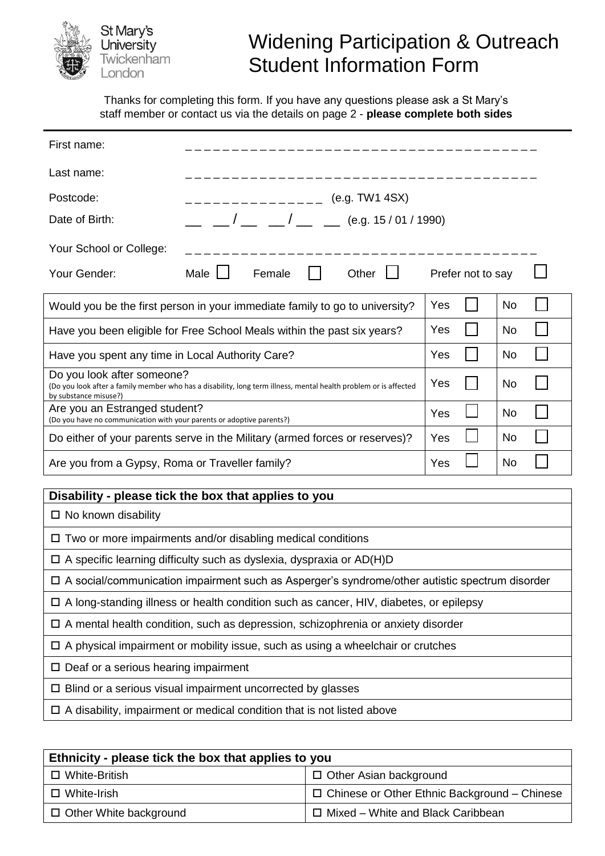

## Widening Participation & Outreach Student Information Form

Thanks for completing this form. If you have any questions please ask a St Mary's staff member or contact us via the details on page 2 - **please complete both sides**

| First name:                                                                                                                                                             |                                    |        |     |       |                   |    |    |  |  |
|-------------------------------------------------------------------------------------------------------------------------------------------------------------------------|------------------------------------|--------|-----|-------|-------------------|----|----|--|--|
| Last name:                                                                                                                                                              |                                    |        |     |       |                   |    |    |  |  |
| Postcode:                                                                                                                                                               | (e.g. TW1 4SX)<br>________________ |        |     |       |                   |    |    |  |  |
| Date of Birth:                                                                                                                                                          | $1 - 1$ (e.g. 15/01/1990)          |        |     |       |                   |    |    |  |  |
| Your School or College:                                                                                                                                                 |                                    |        |     |       |                   |    |    |  |  |
| Your Gender:                                                                                                                                                            | Male $\Box$                        | Female |     | Other | Prefer not to say |    |    |  |  |
| Would you be the first person in your immediate family to go to university?                                                                                             |                                    |        |     |       | Yes               |    | No |  |  |
| Have you been eligible for Free School Meals within the past six years?                                                                                                 |                                    |        | Yes |       | No                |    |    |  |  |
| Have you spent any time in Local Authority Care?                                                                                                                        |                                    |        | Yes |       | <b>No</b>         |    |    |  |  |
| Do you look after someone?<br>(Do you look after a family member who has a disability, long term illness, mental health problem or is affected<br>by substance misuse?) |                                    |        | Yes |       | No.               |    |    |  |  |
| Are you an Estranged student?<br>(Do you have no communication with your parents or adoptive parents?)                                                                  |                                    |        |     | Yes   |                   | No |    |  |  |
| Do either of your parents serve in the Military (armed forces or reserves)?                                                                                             |                                    |        | Yes |       | No                |    |    |  |  |
| Are you from a Gypsy, Roma or Traveller family?                                                                                                                         |                                    |        | Yes |       | No                |    |    |  |  |
| Disability - please tick the box that applies to you                                                                                                                    |                                    |        |     |       |                   |    |    |  |  |
| $\Box$ No known disability                                                                                                                                              |                                    |        |     |       |                   |    |    |  |  |
| $\Box$ Two or more impairments and/or disabling medical conditions                                                                                                      |                                    |        |     |       |                   |    |    |  |  |
| $\Box$ A specific learning difficulty such as dyslexia, dyspraxia or AD(H)D                                                                                             |                                    |        |     |       |                   |    |    |  |  |
| □ A social/communication impairment such as Asperger's syndrome/other autistic spectrum disorder                                                                        |                                    |        |     |       |                   |    |    |  |  |
| $\Box$ A long-standing illness or health condition such as cancer, HIV, diabetes, or epilepsy                                                                           |                                    |        |     |       |                   |    |    |  |  |
| $\Box$ A mental health condition, such as depression, schizophrenia or anxiety disorder                                                                                 |                                    |        |     |       |                   |    |    |  |  |
| $\Box$ A physical impairment or mobility issue, such as using a wheelchair or crutches                                                                                  |                                    |        |     |       |                   |    |    |  |  |
| $\square$ Deaf or a serious hearing impairment                                                                                                                          |                                    |        |     |       |                   |    |    |  |  |
| $\Box$ Blind or a serious visual impairment uncorrected by glasses                                                                                                      |                                    |        |     |       |                   |    |    |  |  |
| $\Box$ A disability, impairment or medical condition that is not listed above                                                                                           |                                    |        |     |       |                   |    |    |  |  |

| Ethnicity - please tick the box that applies to you |                                                     |  |  |  |  |  |
|-----------------------------------------------------|-----------------------------------------------------|--|--|--|--|--|
| □ White-British                                     | $\Box$ Other Asian background                       |  |  |  |  |  |
| □ White-Irish                                       | $\Box$ Chinese or Other Ethnic Background – Chinese |  |  |  |  |  |
| $\Box$ Other White background                       | $\Box$ Mixed – White and Black Caribbean            |  |  |  |  |  |